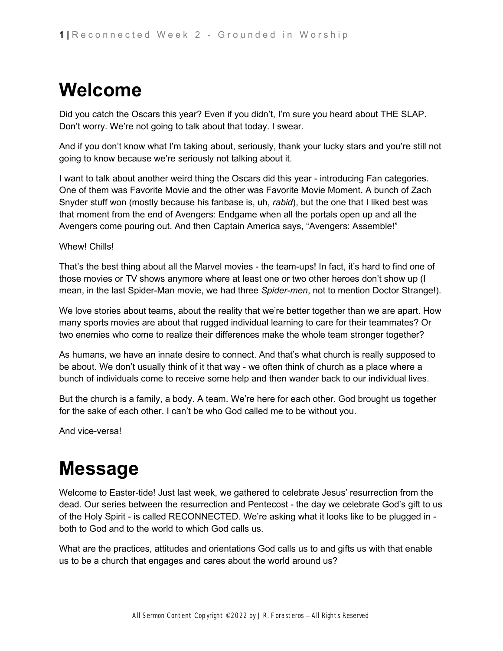# **Welcome**

Did you catch the Oscars this year? Even if you didn't, I'm sure you heard about THE SLAP. Don't worry. We're not going to talk about that today. I swear.

And if you don't know what I'm taking about, seriously, thank your lucky stars and you're still not going to know because we're seriously not talking about it.

I want to talk about another weird thing the Oscars did this year - introducing Fan categories. One of them was Favorite Movie and the other was Favorite Movie Moment. A bunch of Zach Snyder stuff won (mostly because his fanbase is, uh, *rabid*), but the one that I liked best was that moment from the end of Avengers: Endgame when all the portals open up and all the Avengers come pouring out. And then Captain America says, "Avengers: Assemble!"

Whew! Chills!

That's the best thing about all the Marvel movies - the team-ups! In fact, it's hard to find one of those movies or TV shows anymore where at least one or two other heroes don't show up (I mean, in the last Spider-Man movie, we had three *Spider-men*, not to mention Doctor Strange!).

We love stories about teams, about the reality that we're better together than we are apart. How many sports movies are about that rugged individual learning to care for their teammates? Or two enemies who come to realize their differences make the whole team stronger together?

As humans, we have an innate desire to connect. And that's what church is really supposed to be about. We don't usually think of it that way - we often think of church as a place where a bunch of individuals come to receive some help and then wander back to our individual lives.

But the church is a family, a body. A team. We're here for each other. God brought us together for the sake of each other. I can't be who God called me to be without you.

And vice-versa!

# **Message**

Welcome to Easter-tide! Just last week, we gathered to celebrate Jesus' resurrection from the dead. Our series between the resurrection and Pentecost - the day we celebrate God's gift to us of the Holy Spirit - is called RECONNECTED. We're asking what it looks like to be plugged in both to God and to the world to which God calls us.

What are the practices, attitudes and orientations God calls us to and gifts us with that enable us to be a church that engages and cares about the world around us?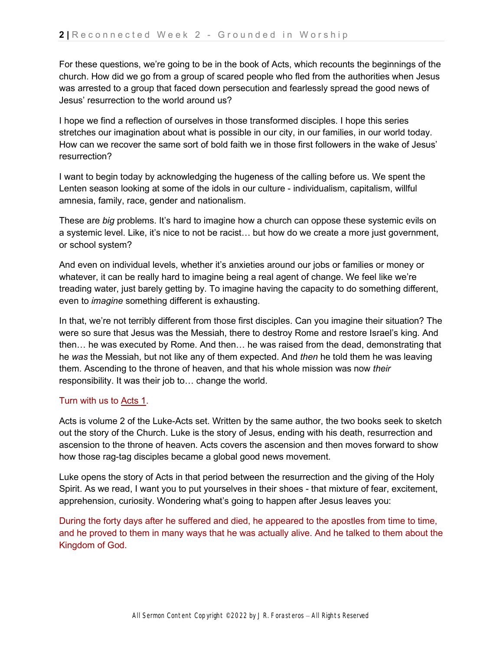For these questions, we're going to be in the book of Acts, which recounts the beginnings of the church. How did we go from a group of scared people who fled from the authorities when Jesus was arrested to a group that faced down persecution and fearlessly spread the good news of Jesus' resurrection to the world around us?

I hope we find a reflection of ourselves in those transformed disciples. I hope this series stretches our imagination about what is possible in our city, in our families, in our world today. How can we recover the same sort of bold faith we in those first followers in the wake of Jesus' resurrection?

I want to begin today by acknowledging the hugeness of the calling before us. We spent the Lenten season looking at some of the idols in our culture - individualism, capitalism, willful amnesia, family, race, gender and nationalism.

These are *big* problems. It's hard to imagine how a church can oppose these systemic evils on a systemic level. Like, it's nice to not be racist… but how do we create a more just government, or school system?

And even on individual levels, whether it's anxieties around our jobs or families or money or whatever, it can be really hard to imagine being a real agent of change. We feel like we're treading water, just barely getting by. To imagine having the capacity to do something different, even to *imagine* something different is exhausting.

In that, we're not terribly different from those first disciples. Can you imagine their situation? The were so sure that Jesus was the Messiah, there to destroy Rome and restore Israel's king. And then… he was executed by Rome. And then… he was raised from the dead, demonstrating that he *was* the Messiah, but not like any of them expected. And *then* he told them he was leaving them. Ascending to the throne of heaven, and that his whole mission was now *their*  responsibility. It was their job to… change the world.

#### Turn with us t[o](https://ref.ly/logosref/bible$2Bnlt.65.1) [Acts 1.](https://ref.ly/logosref/bible$2Bnlt.65.1)

Acts is volume 2 of the Luke-Acts set. Written by the same author, the two books seek to sketch out the story of the Church. Luke is the story of Jesus, ending with his death, resurrection and ascension to the throne of heaven. Acts covers the ascension and then moves forward to show how those rag-tag disciples became a global good news movement.

Luke opens the story of Acts in that period between the resurrection and the giving of the Holy Spirit. As we read, I want you to put yourselves in their shoes - that mixture of fear, excitement, apprehension, curiosity. Wondering what's going to happen after Jesus leaves you:

During the forty days after he suffered and died, he appeared to the apostles from time to time, and he proved to them in many ways that he was actually alive. And he talked to them about the Kingdom of God.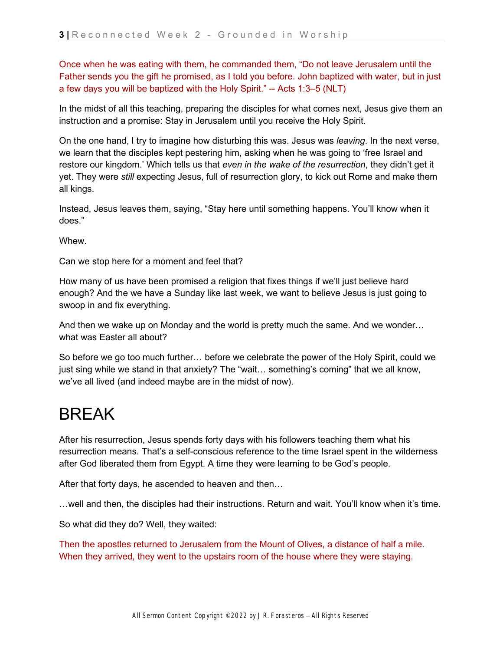Once when he was eating with them, he commanded them, "Do not leave Jerusalem until the Father sends you the gift he promised, as I told you before. John baptized with water, but in just a few days you will be baptized with the Holy Spirit." -- Acts 1:3–5 (NLT)

In the midst of all this teaching, preparing the disciples for what comes next, Jesus give them an instruction and a promise: Stay in Jerusalem until you receive the Holy Spirit.

On the one hand, I try to imagine how disturbing this was. Jesus was *leaving*. In the next verse, we learn that the disciples kept pestering him, asking when he was going to 'free Israel and restore our kingdom.' Which tells us that *even in the wake of the resurrection*, they didn't get it yet. They were *still* expecting Jesus, full of resurrection glory, to kick out Rome and make them all kings.

Instead, Jesus leaves them, saying, "Stay here until something happens. You'll know when it does."

Whew.

Can we stop here for a moment and feel that?

How many of us have been promised a religion that fixes things if we'll just believe hard enough? And the we have a Sunday like last week, we want to believe Jesus is just going to swoop in and fix everything.

And then we wake up on Monday and the world is pretty much the same. And we wonder… what was Easter all about?

So before we go too much further… before we celebrate the power of the Holy Spirit, could we just sing while we stand in that anxiety? The "wait… something's coming" that we all know, we've all lived (and indeed maybe are in the midst of now).

### BREAK

After his resurrection, Jesus spends forty days with his followers teaching them what his resurrection means. That's a self-conscious reference to the time Israel spent in the wilderness after God liberated them from Egypt. A time they were learning to be God's people.

After that forty days, he ascended to heaven and then…

…well and then, the disciples had their instructions. Return and wait. You'll know when it's time.

So what did they do? Well, they waited:

Then the apostles returned to Jerusalem from the Mount of Olives, a distance of half a mile. When they arrived, they went to the upstairs room of the house where they were staying.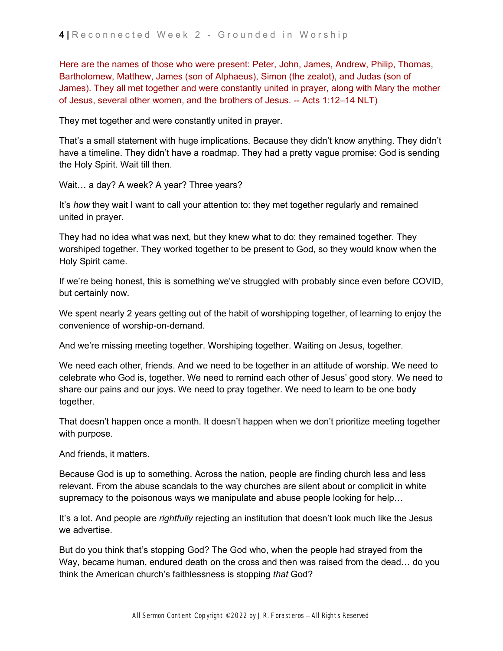Here are the names of those who were present: Peter, John, James, Andrew, Philip, Thomas, Bartholomew, Matthew, James (son of Alphaeus), Simon (the zealot), and Judas (son of James). They all met together and were constantly united in prayer, along with Mary the mother of Jesus, several other women, and the brothers of Jesus. -- Acts 1:12–14 NLT)

They met together and were constantly united in prayer.

That's a small statement with huge implications. Because they didn't know anything. They didn't have a timeline. They didn't have a roadmap. They had a pretty vague promise: God is sending the Holy Spirit. Wait till then.

Wait… a day? A week? A year? Three years?

It's *how* they wait I want to call your attention to: they met together regularly and remained united in prayer.

They had no idea what was next, but they knew what to do: they remained together. They worshiped together. They worked together to be present to God, so they would know when the Holy Spirit came.

If we're being honest, this is something we've struggled with probably since even before COVID, but certainly now.

We spent nearly 2 years getting out of the habit of worshipping together, of learning to enjoy the convenience of worship-on-demand.

And we're missing meeting together. Worshiping together. Waiting on Jesus, together.

We need each other, friends. And we need to be together in an attitude of worship. We need to celebrate who God is, together. We need to remind each other of Jesus' good story. We need to share our pains and our joys. We need to pray together. We need to learn to be one body together.

That doesn't happen once a month. It doesn't happen when we don't prioritize meeting together with purpose.

And friends, it matters.

Because God is up to something. Across the nation, people are finding church less and less relevant. From the abuse scandals to the way churches are silent about or complicit in white supremacy to the poisonous ways we manipulate and abuse people looking for help…

It's a lot. And people are *rightfully* rejecting an institution that doesn't look much like the Jesus we advertise.

But do you think that's stopping God? The God who, when the people had strayed from the Way, became human, endured death on the cross and then was raised from the dead… do you think the American church's faithlessness is stopping *that* God?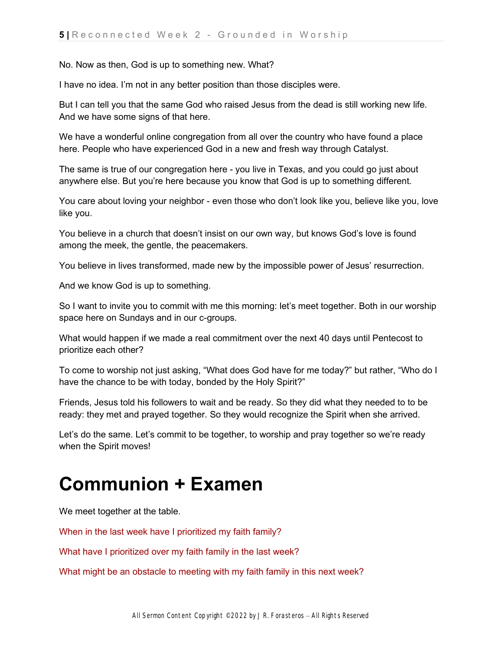No. Now as then, God is up to something new. What?

I have no idea. I'm not in any better position than those disciples were.

But I can tell you that the same God who raised Jesus from the dead is still working new life. And we have some signs of that here.

We have a wonderful online congregation from all over the country who have found a place here. People who have experienced God in a new and fresh way through Catalyst.

The same is true of our congregation here - you live in Texas, and you could go just about anywhere else. But you're here because you know that God is up to something different.

You care about loving your neighbor - even those who don't look like you, believe like you, love like you.

You believe in a church that doesn't insist on our own way, but knows God's love is found among the meek, the gentle, the peacemakers.

You believe in lives transformed, made new by the impossible power of Jesus' resurrection.

And we know God is up to something.

So I want to invite you to commit with me this morning: let's meet together. Both in our worship space here on Sundays and in our c-groups.

What would happen if we made a real commitment over the next 40 days until Pentecost to prioritize each other?

To come to worship not just asking, "What does God have for me today?" but rather, "Who do I have the chance to be with today, bonded by the Holy Spirit?"

Friends, Jesus told his followers to wait and be ready. So they did what they needed to to be ready: they met and prayed together. So they would recognize the Spirit when she arrived.

Let's do the same. Let's commit to be together, to worship and pray together so we're ready when the Spirit moves!

### **Communion + Examen**

We meet together at the table.

When in the last week have I prioritized my faith family?

What have I prioritized over my faith family in the last week?

What might be an obstacle to meeting with my faith family in this next week?